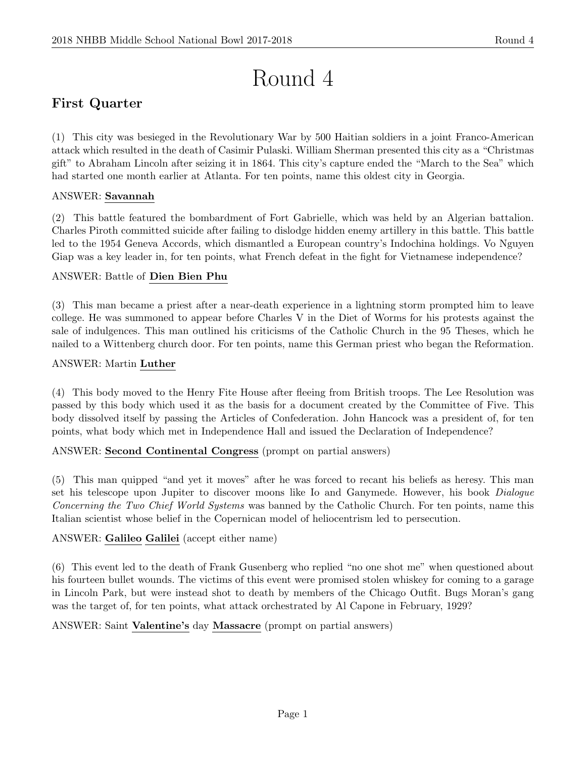# Round 4

# First Quarter

(1) This city was besieged in the Revolutionary War by 500 Haitian soldiers in a joint Franco-American attack which resulted in the death of Casimir Pulaski. William Sherman presented this city as a "Christmas gift" to Abraham Lincoln after seizing it in 1864. This city's capture ended the "March to the Sea" which had started one month earlier at Atlanta. For ten points, name this oldest city in Georgia.

# ANSWER: Savannah

(2) This battle featured the bombardment of Fort Gabrielle, which was held by an Algerian battalion. Charles Piroth committed suicide after failing to dislodge hidden enemy artillery in this battle. This battle led to the 1954 Geneva Accords, which dismantled a European country's Indochina holdings. Vo Nguyen Giap was a key leader in, for ten points, what French defeat in the fight for Vietnamese independence?

# ANSWER: Battle of Dien Bien Phu

(3) This man became a priest after a near-death experience in a lightning storm prompted him to leave college. He was summoned to appear before Charles V in the Diet of Worms for his protests against the sale of indulgences. This man outlined his criticisms of the Catholic Church in the 95 Theses, which he nailed to a Wittenberg church door. For ten points, name this German priest who began the Reformation.

# ANSWER: Martin Luther

(4) This body moved to the Henry Fite House after fleeing from British troops. The Lee Resolution was passed by this body which used it as the basis for a document created by the Committee of Five. This body dissolved itself by passing the Articles of Confederation. John Hancock was a president of, for ten points, what body which met in Independence Hall and issued the Declaration of Independence?

# ANSWER: Second Continental Congress (prompt on partial answers)

(5) This man quipped "and yet it moves" after he was forced to recant his beliefs as heresy. This man set his telescope upon Jupiter to discover moons like Io and Ganymede. However, his book *Dialogue* Concerning the Two Chief World Systems was banned by the Catholic Church. For ten points, name this Italian scientist whose belief in the Copernican model of heliocentrism led to persecution.

# ANSWER: Galileo Galilei (accept either name)

(6) This event led to the death of Frank Gusenberg who replied "no one shot me" when questioned about his fourteen bullet wounds. The victims of this event were promised stolen whiskey for coming to a garage in Lincoln Park, but were instead shot to death by members of the Chicago Outfit. Bugs Moran's gang was the target of, for ten points, what attack orchestrated by Al Capone in February, 1929?

ANSWER: Saint Valentine's day Massacre (prompt on partial answers)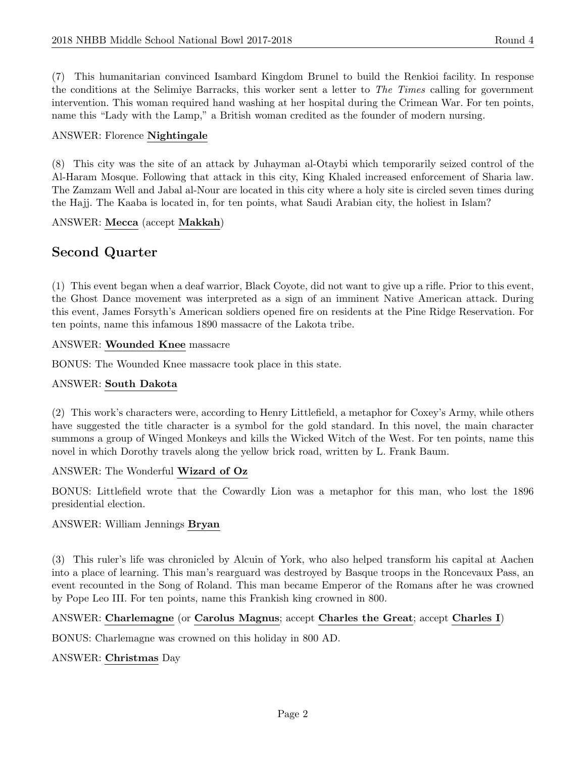(7) This humanitarian convinced Isambard Kingdom Brunel to build the Renkioi facility. In response the conditions at the Selimiye Barracks, this worker sent a letter to The Times calling for government intervention. This woman required hand washing at her hospital during the Crimean War. For ten points, name this "Lady with the Lamp," a British woman credited as the founder of modern nursing.

#### ANSWER: Florence Nightingale

(8) This city was the site of an attack by Juhayman al-Otaybi which temporarily seized control of the Al-Haram Mosque. Following that attack in this city, King Khaled increased enforcement of Sharia law. The Zamzam Well and Jabal al-Nour are located in this city where a holy site is circled seven times during the Hajj. The Kaaba is located in, for ten points, what Saudi Arabian city, the holiest in Islam?

#### ANSWER: Mecca (accept Makkah)

# Second Quarter

(1) This event began when a deaf warrior, Black Coyote, did not want to give up a rifle. Prior to this event, the Ghost Dance movement was interpreted as a sign of an imminent Native American attack. During this event, James Forsyth's American soldiers opened fire on residents at the Pine Ridge Reservation. For ten points, name this infamous 1890 massacre of the Lakota tribe.

#### ANSWER: Wounded Knee massacre

BONUS: The Wounded Knee massacre took place in this state.

#### ANSWER: South Dakota

(2) This work's characters were, according to Henry Littlefield, a metaphor for Coxey's Army, while others have suggested the title character is a symbol for the gold standard. In this novel, the main character summons a group of Winged Monkeys and kills the Wicked Witch of the West. For ten points, name this novel in which Dorothy travels along the yellow brick road, written by L. Frank Baum.

#### ANSWER: The Wonderful Wizard of Oz

BONUS: Littlefield wrote that the Cowardly Lion was a metaphor for this man, who lost the 1896 presidential election.

#### ANSWER: William Jennings Bryan

(3) This ruler's life was chronicled by Alcuin of York, who also helped transform his capital at Aachen into a place of learning. This man's rearguard was destroyed by Basque troops in the Roncevaux Pass, an event recounted in the Song of Roland. This man became Emperor of the Romans after he was crowned by Pope Leo III. For ten points, name this Frankish king crowned in 800.

#### ANSWER: Charlemagne (or Carolus Magnus; accept Charles the Great; accept Charles I)

BONUS: Charlemagne was crowned on this holiday in 800 AD.

#### ANSWER: Christmas Day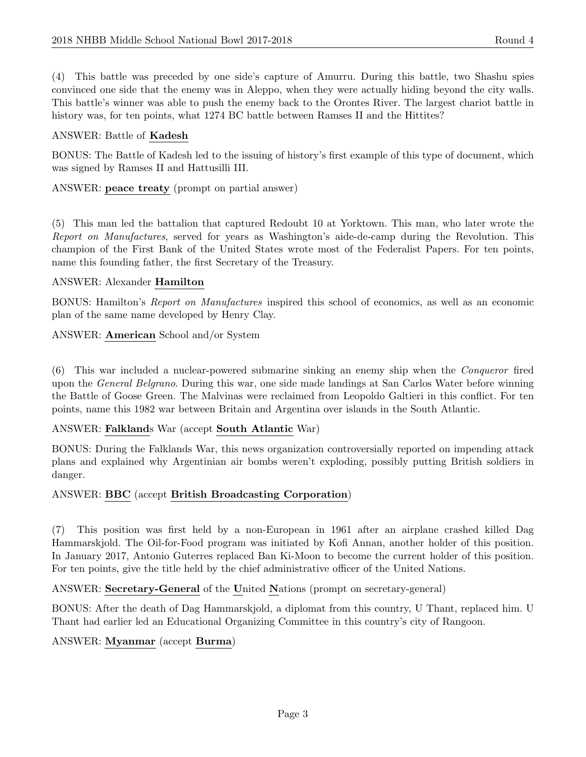(4) This battle was preceded by one side's capture of Amurru. During this battle, two Shashu spies convinced one side that the enemy was in Aleppo, when they were actually hiding beyond the city walls. This battle's winner was able to push the enemy back to the Orontes River. The largest chariot battle in history was, for ten points, what 1274 BC battle between Ramses II and the Hittites?

#### ANSWER: Battle of Kadesh

BONUS: The Battle of Kadesh led to the issuing of history's first example of this type of document, which was signed by Ramses II and Hattusilli III.

ANSWER: peace treaty (prompt on partial answer)

(5) This man led the battalion that captured Redoubt 10 at Yorktown. This man, who later wrote the Report on Manufactures, served for years as Washington's aide-de-camp during the Revolution. This champion of the First Bank of the United States wrote most of the Federalist Papers. For ten points, name this founding father, the first Secretary of the Treasury.

#### ANSWER: Alexander Hamilton

BONUS: Hamilton's Report on Manufactures inspired this school of economics, as well as an economic plan of the same name developed by Henry Clay.

ANSWER: American School and/or System

(6) This war included a nuclear-powered submarine sinking an enemy ship when the Conqueror fired upon the *General Belgrano*. During this war, one side made landings at San Carlos Water before winning the Battle of Goose Green. The Malvinas were reclaimed from Leopoldo Galtieri in this conflict. For ten points, name this 1982 war between Britain and Argentina over islands in the South Atlantic.

#### ANSWER: Falklands War (accept South Atlantic War)

BONUS: During the Falklands War, this news organization controversially reported on impending attack plans and explained why Argentinian air bombs weren't exploding, possibly putting British soldiers in danger.

#### ANSWER: BBC (accept British Broadcasting Corporation)

(7) This position was first held by a non-European in 1961 after an airplane crashed killed Dag Hammarskjold. The Oil-for-Food program was initiated by Kofi Annan, another holder of this position. In January 2017, Antonio Guterres replaced Ban Ki-Moon to become the current holder of this position. For ten points, give the title held by the chief administrative officer of the United Nations.

ANSWER: Secretary-General of the United Nations (prompt on secretary-general)

BONUS: After the death of Dag Hammarskjold, a diplomat from this country, U Thant, replaced him. U Thant had earlier led an Educational Organizing Committee in this country's city of Rangoon.

ANSWER: Myanmar (accept Burma)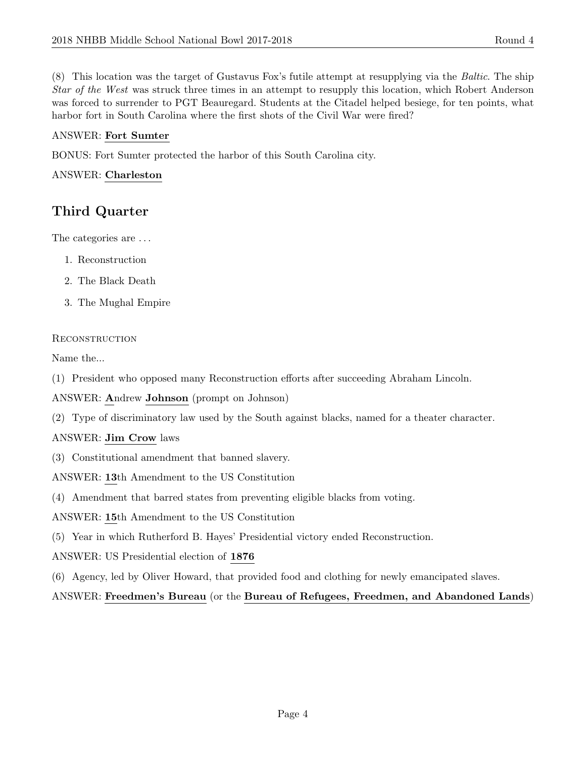(8) This location was the target of Gustavus Fox's futile attempt at resupplying via the Baltic. The ship Star of the West was struck three times in an attempt to resupply this location, which Robert Anderson was forced to surrender to PGT Beauregard. Students at the Citadel helped besiege, for ten points, what harbor fort in South Carolina where the first shots of the Civil War were fired?

## ANSWER: Fort Sumter

BONUS: Fort Sumter protected the harbor of this South Carolina city.

## ANSWER: Charleston

# Third Quarter

The categories are . . .

- 1. Reconstruction
- 2. The Black Death
- 3. The Mughal Empire

#### **RECONSTRUCTION**

Name the...

(1) President who opposed many Reconstruction efforts after succeeding Abraham Lincoln.

ANSWER: Andrew Johnson (prompt on Johnson)

(2) Type of discriminatory law used by the South against blacks, named for a theater character.

# ANSWER: Jim Crow laws

- (3) Constitutional amendment that banned slavery.
- ANSWER: 13th Amendment to the US Constitution
- (4) Amendment that barred states from preventing eligible blacks from voting.
- ANSWER: 15th Amendment to the US Constitution
- (5) Year in which Rutherford B. Hayes' Presidential victory ended Reconstruction.
- ANSWER: US Presidential election of 1876
- (6) Agency, led by Oliver Howard, that provided food and clothing for newly emancipated slaves.

# ANSWER: Freedmen's Bureau (or the Bureau of Refugees, Freedmen, and Abandoned Lands)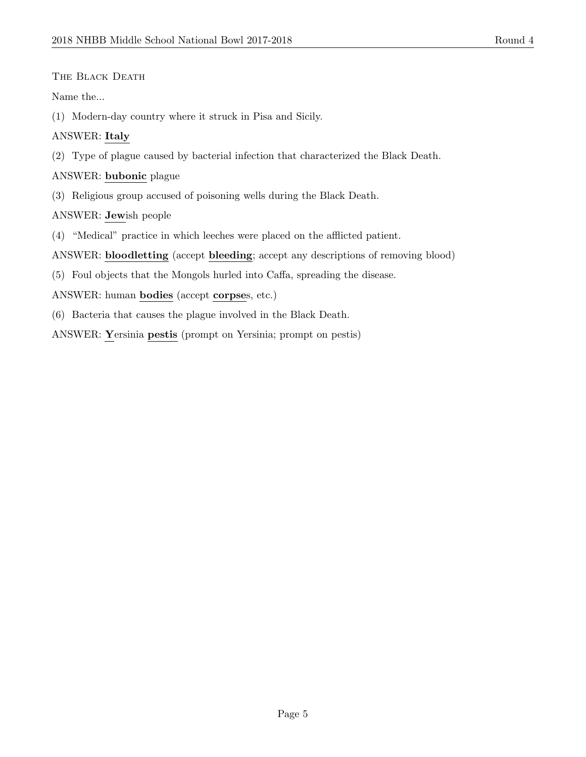THE BLACK DEATH

Name the...

(1) Modern-day country where it struck in Pisa and Sicily.

# ANSWER: Italy

(2) Type of plague caused by bacterial infection that characterized the Black Death.

# ANSWER: bubonic plague

(3) Religious group accused of poisoning wells during the Black Death.

ANSWER: Jewish people

(4) "Medical" practice in which leeches were placed on the afflicted patient.

ANSWER: bloodletting (accept bleeding; accept any descriptions of removing blood)

(5) Foul objects that the Mongols hurled into Caffa, spreading the disease.

ANSWER: human bodies (accept corpses, etc.)

(6) Bacteria that causes the plague involved in the Black Death.

ANSWER: Yersinia pestis (prompt on Yersinia; prompt on pestis)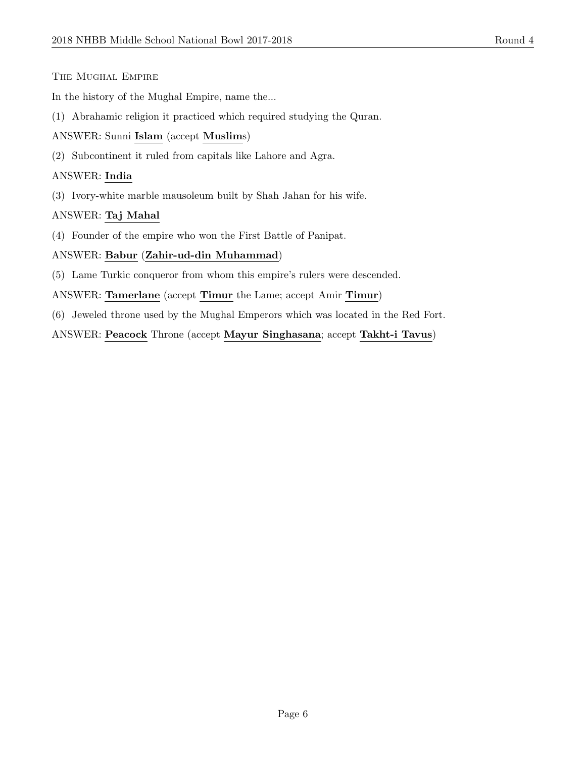#### The Mughal Empire

In the history of the Mughal Empire, name the...

(1) Abrahamic religion it practiced which required studying the Quran.

#### ANSWER: Sunni Islam (accept Muslims)

(2) Subcontinent it ruled from capitals like Lahore and Agra.

#### ANSWER: India

(3) Ivory-white marble mausoleum built by Shah Jahan for his wife.

# ANSWER: Taj Mahal

(4) Founder of the empire who won the First Battle of Panipat.

#### ANSWER: Babur (Zahir-ud-din Muhammad)

(5) Lame Turkic conqueror from whom this empire's rulers were descended.

ANSWER: Tamerlane (accept Timur the Lame; accept Amir Timur)

(6) Jeweled throne used by the Mughal Emperors which was located in the Red Fort.

ANSWER: Peacock Throne (accept Mayur Singhasana; accept Takht-i Tavus)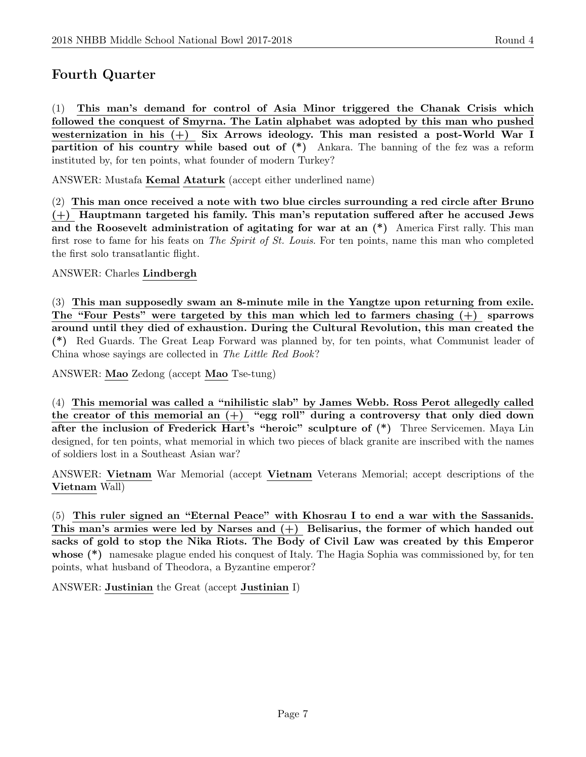# Fourth Quarter

(1) This man's demand for control of Asia Minor triggered the Chanak Crisis which followed the conquest of Smyrna. The Latin alphabet was adopted by this man who pushed westernization in his (+) Six Arrows ideology. This man resisted a post-World War I partition of his country while based out of (\*) Ankara. The banning of the fez was a reform instituted by, for ten points, what founder of modern Turkey?

ANSWER: Mustafa Kemal Ataturk (accept either underlined name)

(2) This man once received a note with two blue circles surrounding a red circle after Bruno (+) Hauptmann targeted his family. This man's reputation suffered after he accused Jews and the Roosevelt administration of agitating for war at an (\*) America First rally. This man first rose to fame for his feats on The Spirit of St. Louis. For ten points, name this man who completed the first solo transatlantic flight.

#### ANSWER: Charles Lindbergh

(3) This man supposedly swam an 8-minute mile in the Yangtze upon returning from exile. The "Four Pests" were targeted by this man which led to farmers chasing (+) sparrows around until they died of exhaustion. During the Cultural Revolution, this man created the (\*) Red Guards. The Great Leap Forward was planned by, for ten points, what Communist leader of China whose sayings are collected in The Little Red Book?

ANSWER: Mao Zedong (accept Mao Tse-tung)

(4) This memorial was called a "nihilistic slab" by James Webb. Ross Perot allegedly called the creator of this memorial an  $(+)$  "egg roll" during a controversy that only died down after the inclusion of Frederick Hart's "heroic" sculpture of  $(*)$  Three Servicemen. Maya Lin designed, for ten points, what memorial in which two pieces of black granite are inscribed with the names of soldiers lost in a Southeast Asian war?

ANSWER: Vietnam War Memorial (accept Vietnam Veterans Memorial; accept descriptions of the Vietnam Wall)

(5) This ruler signed an "Eternal Peace" with Khosrau I to end a war with the Sassanids. This man's armies were led by Narses and  $(+)$  Belisarius, the former of which handed out sacks of gold to stop the Nika Riots. The Body of Civil Law was created by this Emperor whose (\*) namesake plague ended his conquest of Italy. The Hagia Sophia was commissioned by, for ten points, what husband of Theodora, a Byzantine emperor?

ANSWER: Justinian the Great (accept Justinian I)